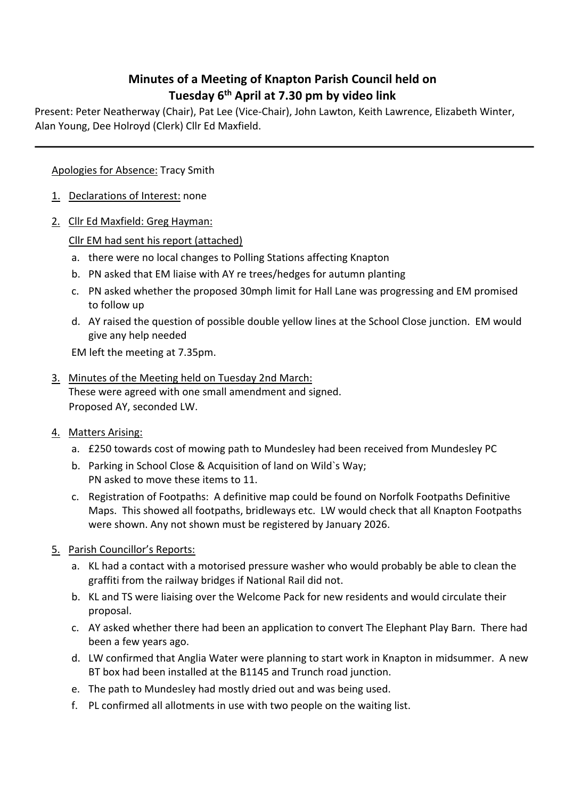## **Minutes of a Meeting of Knapton Parish Council held on Tuesday 6th April at 7.30 pm by video link**

Present: Peter Neatherway (Chair), Pat Lee (Vice-Chair), John Lawton, Keith Lawrence, Elizabeth Winter, Alan Young, Dee Holroyd (Clerk) Cllr Ed Maxfield.

Apologies for Absence: Tracy Smith

- 1. Declarations of Interest: none
- 2. Cllr Ed Maxfield: Greg Hayman:

Cllr EM had sent his report (attached)

- a. there were no local changes to Polling Stations affecting Knapton
- b. PN asked that EM liaise with AY re trees/hedges for autumn planting
- c. PN asked whether the proposed 30mph limit for Hall Lane was progressing and EM promised to follow up
- d. AY raised the question of possible double yellow lines at the School Close junction. EM would give any help needed

EM left the meeting at 7.35pm.

- 3. Minutes of the Meeting held on Tuesday 2nd March: These were agreed with one small amendment and signed. Proposed AY, seconded LW.
- 4. Matters Arising:
	- a. £250 towards cost of mowing path to Mundesley had been received from Mundesley PC
	- b. Parking in School Close & Acquisition of land on Wild`s Way; PN asked to move these items to 11.
	- c. Registration of Footpaths: A definitive map could be found on Norfolk Footpaths Definitive Maps. This showed all footpaths, bridleways etc. LW would check that all Knapton Footpaths were shown. Any not shown must be registered by January 2026.
- 5. Parish Councillor's Reports:
	- a. KL had a contact with a motorised pressure washer who would probably be able to clean the graffiti from the railway bridges if National Rail did not.
	- b. KL and TS were liaising over the Welcome Pack for new residents and would circulate their proposal.
	- c. AY asked whether there had been an application to convert The Elephant Play Barn. There had been a few years ago.
	- d. LW confirmed that Anglia Water were planning to start work in Knapton in midsummer. A new BT box had been installed at the B1145 and Trunch road junction.
	- e. The path to Mundesley had mostly dried out and was being used.
	- f. PL confirmed all allotments in use with two people on the waiting list.